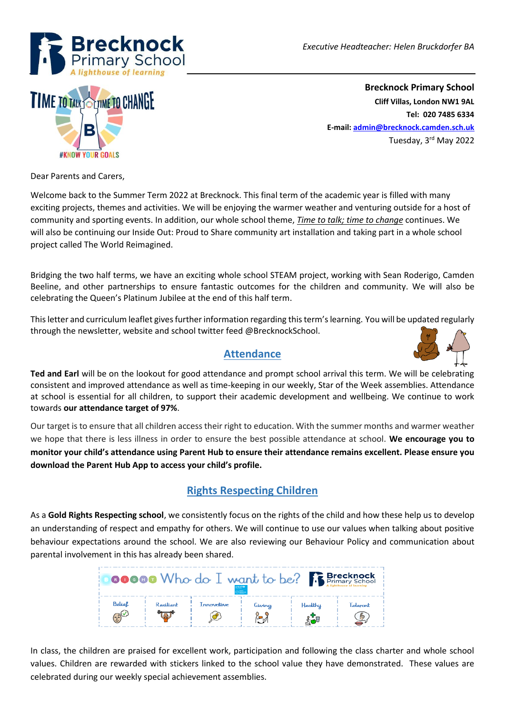



**Brecknock Primary School Cliff Villas, London NW1 9AL Tel: 020 7485 6334 E-mail[: admin@brecknock.camden.sch.uk](mailto:admin@brecknock.camden.sch.uk)** Tuesday, 3rd May 2022

Dear Parents and Carers,

Welcome back to the Summer Term 2022 at Brecknock. This final term of the academic year is filled with many exciting projects, themes and activities. We will be enjoying the warmer weather and venturing outside for a host of community and sporting events. In addition, our whole school theme, *Time to talk; time to change* continues. We will also be continuing our Inside Out: Proud to Share community art installation and taking part in a whole school project called The World Reimagined.

Bridging the two half terms, we have an exciting whole school STEAM project, working with Sean Roderigo, Camden Beeline, and other partnerships to ensure fantastic outcomes for the children and community. We will also be celebrating the Queen's Platinum Jubilee at the end of this half term.

This letter and curriculum leaflet gives further information regarding this term's learning. You will be updated regularly through the newsletter, website and school twitter feed @BrecknockSchool.



#### **Attendance**

**Ted and Earl** will be on the lookout for good attendance and prompt school arrival this term. We will be celebrating consistent and improved attendance as well as time-keeping in our weekly, Star of the Week assemblies. Attendance at school is essential for all children, to support their academic development and wellbeing. We continue to work towards **our attendance target of 97%**.

Our target is to ensure that all children access their right to education. With the summer months and warmer weather we hope that there is less illness in order to ensure the best possible attendance at school. **We encourage you to monitor your child's attendance using Parent Hub to ensure their attendance remains excellent. Please ensure you download the Parent Hub App to access your child's profile.**

# **Rights Respecting Children**

As a **Gold Rights Respecting school**, we consistently focus on the rights of the child and how these help us to develop an understanding of respect and empathy for others. We will continue to use our values when talking about positive behaviour expectations around the school. We are also reviewing our Behaviour Policy and communication about parental involvement in this has already been shared.

| <b>00000</b> Who do I want to be? <b>Best Brecknock</b> |           |            |               |         |               |
|---------------------------------------------------------|-----------|------------|---------------|---------|---------------|
| Belief<br>25                                            | Resilient | Innovotive | Giving<br>೬್ನ | Healthy | Tolerant<br>÷ |

In class, the children are praised for excellent work, participation and following the class charter and whole school values. Children are rewarded with stickers linked to the school value they have demonstrated. These values are celebrated during our weekly special achievement assemblies.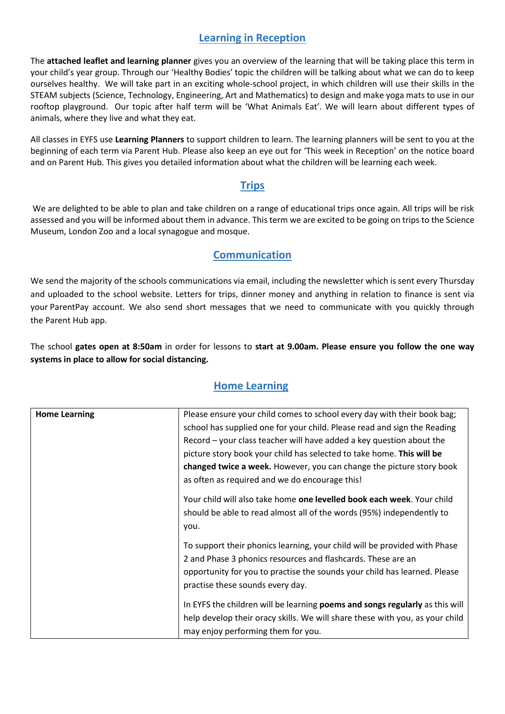### **Learning in Reception**

The **attached leaflet and learning planner** gives you an overview of the learning that will be taking place this term in your child's year group. Through our 'Healthy Bodies' topic the children will be talking about what we can do to keep ourselves healthy. We will take part in an exciting whole-school project, in which children will use their skills in the STEAM subjects (Science, Technology, Engineering, Art and Mathematics) to design and make yoga mats to use in our rooftop playground. Our topic after half term will be 'What Animals Eat'. We will learn about different types of animals, where they live and what they eat.

All classes in EYFS use **Learning Planners** to support children to learn. The learning planners will be sent to you at the beginning of each term via Parent Hub. Please also keep an eye out for 'This week in Reception' on the notice board and on Parent Hub. This gives you detailed information about what the children will be learning each week.

#### **Trips**

We are delighted to be able to plan and take children on a range of educational trips once again. All trips will be risk assessed and you will be informed about them in advance. This term we are excited to be going on trips to the Science Museum, London Zoo and a local synagogue and mosque.

### **Communication**

We send the majority of the schools communications via email, including the newsletter which is sent every Thursday and uploaded to the school website. Letters for trips, dinner money and anything in relation to finance is sent via your ParentPay account. We also send short messages that we need to communicate with you quickly through the Parent Hub app.

The school **gates open at 8:50am** in order for lessons to **start at 9.00am. Please ensure you follow the one way systems in place to allow for social distancing.** 

#### **Home Learning**

| <b>Home Learning</b> | Please ensure your child comes to school every day with their book bag;                                                                                                                                                                                    |
|----------------------|------------------------------------------------------------------------------------------------------------------------------------------------------------------------------------------------------------------------------------------------------------|
|                      | school has supplied one for your child. Please read and sign the Reading                                                                                                                                                                                   |
|                      | Record – your class teacher will have added a key question about the                                                                                                                                                                                       |
|                      | picture story book your child has selected to take home. This will be                                                                                                                                                                                      |
|                      | changed twice a week. However, you can change the picture story book                                                                                                                                                                                       |
|                      | as often as required and we do encourage this!                                                                                                                                                                                                             |
|                      | Your child will also take home one levelled book each week. Your child<br>should be able to read almost all of the words (95%) independently to<br>you.                                                                                                    |
|                      | To support their phonics learning, your child will be provided with Phase<br>2 and Phase 3 phonics resources and flashcards. These are an<br>opportunity for you to practise the sounds your child has learned. Please<br>practise these sounds every day. |
|                      | In EYFS the children will be learning poems and songs regularly as this will<br>help develop their oracy skills. We will share these with you, as your child<br>may enjoy performing them for you.                                                         |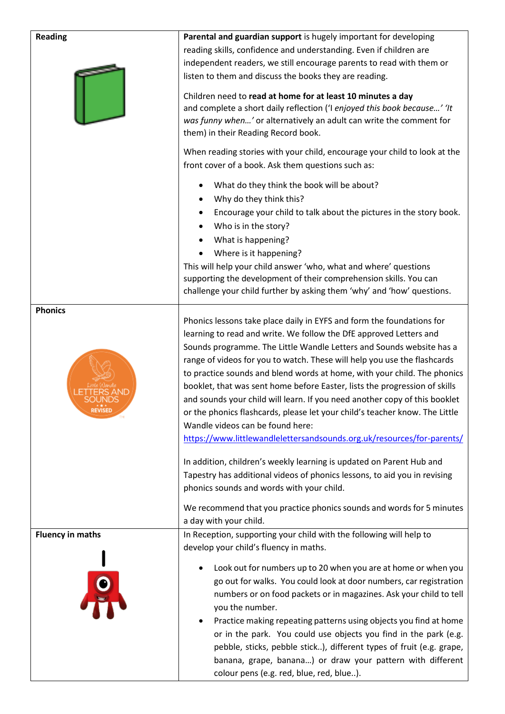| <b>Reading</b>                      | Parental and guardian support is hugely important for developing<br>reading skills, confidence and understanding. Even if children are<br>independent readers, we still encourage parents to read with them or<br>listen to them and discuss the books they are reading.<br>Children need to read at home for at least 10 minutes a day<br>and complete a short daily reflection ('I enjoyed this book because' 'It<br>was funny when' or alternatively an adult can write the comment for<br>them) in their Reading Record book.<br>When reading stories with your child, encourage your child to look at the<br>front cover of a book. Ask them questions such as:                                                                                                                                                                                                                      |
|-------------------------------------|-------------------------------------------------------------------------------------------------------------------------------------------------------------------------------------------------------------------------------------------------------------------------------------------------------------------------------------------------------------------------------------------------------------------------------------------------------------------------------------------------------------------------------------------------------------------------------------------------------------------------------------------------------------------------------------------------------------------------------------------------------------------------------------------------------------------------------------------------------------------------------------------|
|                                     | What do they think the book will be about?<br>Why do they think this?<br>Encourage your child to talk about the pictures in the story book.<br>Who is in the story?<br>What is happening?<br>Where is it happening?<br>This will help your child answer 'who, what and where' questions<br>supporting the development of their comprehension skills. You can<br>challenge your child further by asking them 'why' and 'how' questions.                                                                                                                                                                                                                                                                                                                                                                                                                                                    |
| <b>Phonics</b><br><b>REVISED</b>    | Phonics lessons take place daily in EYFS and form the foundations for<br>learning to read and write. We follow the DfE approved Letters and<br>Sounds programme. The Little Wandle Letters and Sounds website has a<br>range of videos for you to watch. These will help you use the flashcards<br>to practice sounds and blend words at home, with your child. The phonics<br>booklet, that was sent home before Easter, lists the progression of skills<br>and sounds your child will learn. If you need another copy of this booklet<br>or the phonics flashcards, please let your child's teacher know. The Little<br>Wandle videos can be found here:<br>https://www.littlewandlelettersandsounds.org.uk/resources/for-parents/<br>In addition, children's weekly learning is updated on Parent Hub and<br>Tapestry has additional videos of phonics lessons, to aid you in revising |
|                                     | phonics sounds and words with your child.<br>We recommend that you practice phonics sounds and words for 5 minutes<br>a day with your child.                                                                                                                                                                                                                                                                                                                                                                                                                                                                                                                                                                                                                                                                                                                                              |
| <b>Fluency in maths</b><br><u>g</u> | In Reception, supporting your child with the following will help to<br>develop your child's fluency in maths.<br>Look out for numbers up to 20 when you are at home or when you<br>go out for walks. You could look at door numbers, car registration<br>numbers or on food packets or in magazines. Ask your child to tell<br>you the number.<br>Practice making repeating patterns using objects you find at home<br>$\bullet$<br>or in the park. You could use objects you find in the park (e.g.<br>pebble, sticks, pebble stick), different types of fruit (e.g. grape,<br>banana, grape, banana) or draw your pattern with different<br>colour pens (e.g. red, blue, red, blue).                                                                                                                                                                                                    |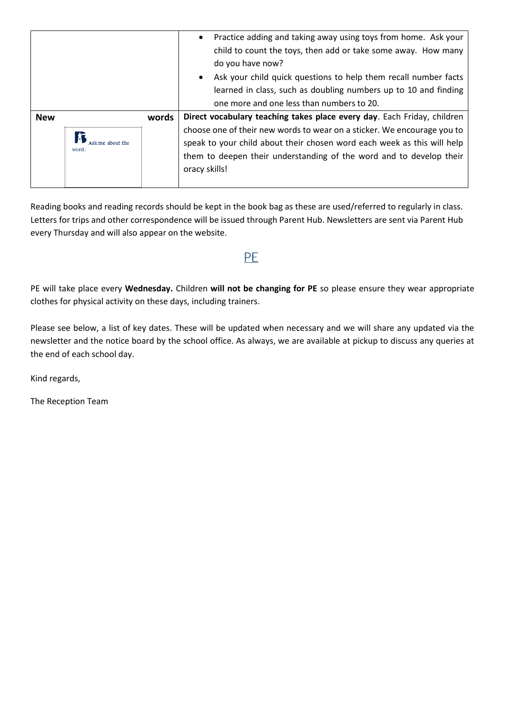|            |       | Practice adding and taking away using toys from home. Ask your<br>child to count the toys, then add or take some away. How many<br>do you have now?                                                                                        |  |
|------------|-------|--------------------------------------------------------------------------------------------------------------------------------------------------------------------------------------------------------------------------------------------|--|
|            |       | Ask your child quick questions to help them recall number facts                                                                                                                                                                            |  |
|            |       | learned in class, such as doubling numbers up to 10 and finding                                                                                                                                                                            |  |
|            |       | one more and one less than numbers to 20.                                                                                                                                                                                                  |  |
| <b>New</b> | words | Direct vocabulary teaching takes place every day. Each Friday, children                                                                                                                                                                    |  |
| word:      |       | choose one of their new words to wear on a sticker. We encourage you to<br>speak to your child about their chosen word each week as this will help<br>them to deepen their understanding of the word and to develop their<br>oracy skills! |  |

Reading books and reading records should be kept in the book bag as these are used/referred to regularly in class. Letters for trips and other correspondence will be issued through Parent Hub. Newsletters are sent via Parent Hub every Thursday and will also appear on the website.

# PE

PE will take place every **Wednesday.** Children **will not be changing for PE** so please ensure they wear appropriate clothes for physical activity on these days, including trainers.

Please see below, a list of key dates. These will be updated when necessary and we will share any updated via the newsletter and the notice board by the school office. As always, we are available at pickup to discuss any queries at the end of each school day.

Kind regards,

The Reception Team